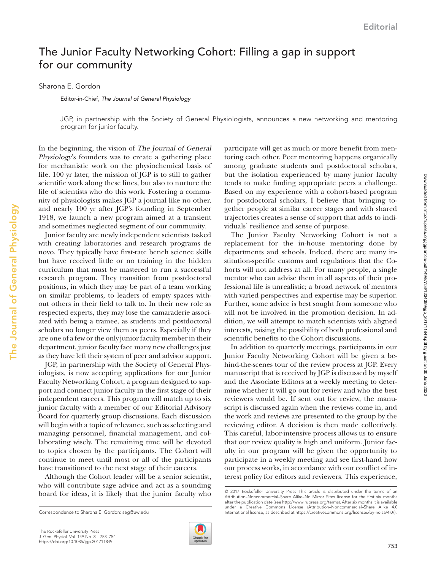## The Junior Faculty Networking Cohort: Filling a gap in support for our community

Sharona E. Gordon

Editor-in-Chief, *The Journal of General Physiology*

JGP, in partnership with the Society of General Physiologists, announces a new networking and mentoring program for junior faculty.

In the beginning, the vision of The Journal of General Physiology's founders was to create a gathering place for mechanistic work on the physiochemical basis of life. 100 yr later, the mission of JGP is to still to gather scientific work along these lines, but also to nurture the life of scientists who do this work. Fostering a community of physiologists makes JGP a journal like no other, and nearly 100 yr after JGP's founding in September 1918, we launch a new program aimed at a transient and sometimes neglected segment of our community.

Junior faculty are newly independent scientists tasked with creating laboratories and research programs de novo. They typically have first-rate bench science skills but have received little or no training in the hidden curriculum that must be mastered to run a successful research program. They transition from postdoctoral positions, in which they may be part of a team working on similar problems, to leaders of empty spaces without others in their field to talk to. In their new role as respected experts, they may lose the camaraderie associated with being a trainee, as students and postdoctoral scholars no longer view them as peers. Especially if they are one of a few or the only junior faculty member in their department, junior faculty face many new challenges just as they have left their system of peer and advisor support.

JGP, in partnership with the Society of General Physiologists, is now accepting applications for our [Junior](http://jgp.rupress.org/content/junior-faculty-networking-cohort) [Faculty Networking Cohort,](http://jgp.rupress.org/content/junior-faculty-networking-cohort) a program designed to support and connect junior faculty in the first stage of their independent careers. This program will match up to six junior faculty with a member of our Editorial Advisory Board for quarterly group discussions. Each discussion will begin with a topic of relevance, such as selecting and managing personnel, financial management, and collaborating wisely. The remaining time will be devoted to topics chosen by the participants. The Cohort will continue to meet until most or all of the participants have transitioned to the next stage of their careers.

Although the Cohort leader will be a senior scientist, who will contribute sage advice and act as a sounding board for ideas, it is likely that the junior faculty who



participate will get as much or more benefit from mentoring each other. Peer mentoring happens organically among graduate students and postdoctoral scholars, but the isolation experienced by many junior faculty tends to make finding appropriate peers a challenge. Based on my experience with a cohort-based program for postdoctoral scholars, I believe that bringing together people at similar career stages and with shared trajectories creates a sense of support that adds to individuals' resilience and sense of purpose.

The Junior Faculty Networking Cohort is not a replacement for the in-house mentoring done by departments and schools. Indeed, there are many institution-specific customs and regulations that the Cohorts will not address at all. For many people, a single mentor who can advise them in all aspects of their professional life is unrealistic; a broad network of mentors with varied perspectives and expertise may be superior. Further, some advice is best sought from someone who will not be involved in the promotion decision. In addition, we will attempt to match scientists with aligned interests, raising the possibility of both professional and scientific benefits to the Cohort discussions.

In addition to quarterly meetings, participants in our Junior Faculty Networking Cohort will be given a behind-the-scenes tour of the review process at JGP. Every manuscript that is received by JGP is discussed by myself and the Associate Editors at a weekly meeting to determine whether it will go out for review and who the best reviewers would be. If sent out for review, the manuscript is discussed again when the reviews come in, and the work and reviews are presented to the group by the reviewing editor. A decision is then made collectively. This careful, labor-intensive process allows us to ensure that our review quality is high and uniform. Junior faculty in our program will be given the opportunity to participate in a weekly meeting and see first-hand how our process works, in accordance with our conflict of interest policy for editors and reviewers. This experience,

<sup>© 2017</sup> Rockefeller University Press This article is distributed under the terms of an Attribution–Noncommercial–Share Alike–No Mirror Sites license for the first six months after the publication date (see [http://www.rupress.org/terms\)](http://www.rupress.org/terms/). After six months it is available under a Creative Commons License (Attribution–Noncommercial–Share Alike 4.0 Correspondence to Sharona E. Gordon: [seg@uw.edu](mailto:) **International license**, as described at <https://creativecommons.org/licenses/by-nc-sa/4.0/>).